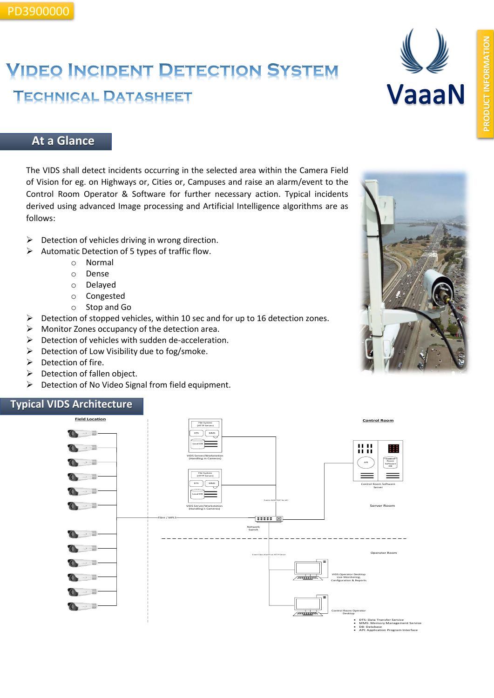# **VIDEO INCIDENT DETECTION SYSTEM TECHNICAL DATASHEET**



### **At a Glance**

The VIDS shall detect incidents occurring in the selected area within the Camera Field of Vision for eg. on Highways or, Cities or, Campuses and raise an alarm/event to the Control Room Operator & Software for further necessary action. Typical incidents derived using advanced Image processing and Artificial Intelligence algorithms are as follows:

- $\triangleright$  Detection of vehicles driving in wrong direction.
- ➢ Automatic Detection of 5 types of traffic flow.
	- o Normal
	- o Dense
	- o Delayed
	- o Congested
	- o Stop and Go
- ➢ Detection of stopped vehicles, within 10 sec and for up to 16 detection zones.
- $\triangleright$  Monitor Zones occupancy of the detection area.
- ➢ Detection of vehicles with sudden de-acceleration.
- ➢ Detection of Low Visibility due to fog/smoke.
- ➢ Detection of fire.
- ➢ Detection of fallen object.
- ➢ Detection of No Video Signal from field equipment.

#### **Typical VIDS Architecture**



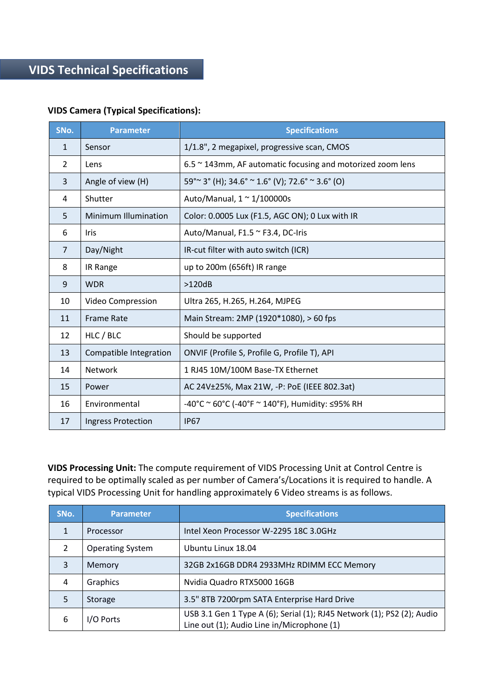#### **VIDS Camera (Typical Specifications):**

| SNo.           | <b>Parameter</b>          | <b>Specifications</b>                                      |
|----------------|---------------------------|------------------------------------------------------------|
| $\mathbf{1}$   | Sensor                    | 1/1.8", 2 megapixel, progressive scan, CMOS                |
| $\overline{2}$ | Lens                      | 6.5 ~ 143mm, AF automatic focusing and motorized zoom lens |
| 3              | Angle of view (H)         | $59^{\circ}$ ~ 3° (H); 34.6° ~ 1.6° (V); 72.6° ~ 3.6° (O)  |
| 4              | Shutter                   | Auto/Manual, $1 \approx 1/100000$ s                        |
| 5              | Minimum Illumination      | Color: 0.0005 Lux (F1.5, AGC ON); 0 Lux with IR            |
| 6              | Iris                      | Auto/Manual, F1.5 ~ F3.4, DC-Iris                          |
| $\overline{7}$ | Day/Night                 | IR-cut filter with auto switch (ICR)                       |
| 8              | IR Range                  | up to 200m (656ft) IR range                                |
| 9              | <b>WDR</b>                | >120dB                                                     |
| 10             | Video Compression         | Ultra 265, H.265, H.264, MJPEG                             |
| 11             | <b>Frame Rate</b>         | Main Stream: 2MP (1920*1080), > 60 fps                     |
| 12             | HLC / BLC                 | Should be supported                                        |
| 13             | Compatible Integration    | ONVIF (Profile S, Profile G, Profile T), API               |
| 14             | Network                   | 1 RJ45 10M/100M Base-TX Ethernet                           |
| 15             | Power                     | AC 24V±25%, Max 21W, -P: PoE (IEEE 802.3at)                |
| 16             | Environmental             | -40°C ~ 60°C (-40°F ~ 140°F), Humidity: $\leq$ 95% RH      |
| 17             | <b>Ingress Protection</b> | <b>IP67</b>                                                |

**VIDS Processing Unit:** The compute requirement of VIDS Processing Unit at Control Centre is required to be optimally scaled as per number of Camera's/Locations it is required to handle. A typical VIDS Processing Unit for handling approximately 6 Video streams is as follows.

| SNo. | <b>Parameter</b>        | <b>Specifications</b>                                                                                                |
|------|-------------------------|----------------------------------------------------------------------------------------------------------------------|
|      | Processor               | Intel Xeon Processor W-2295 18C 3.0GHz                                                                               |
| C.   | <b>Operating System</b> | Ubuntu Linux 18.04                                                                                                   |
| 3    | Memory                  | 32GB 2x16GB DDR4 2933MHz RDIMM ECC Memory                                                                            |
| 4    | Graphics                | Nvidia Quadro RTX5000 16GB                                                                                           |
| 5    | Storage                 | 3.5" 8TB 7200rpm SATA Enterprise Hard Drive                                                                          |
| 6    | I/O Ports               | USB 3.1 Gen 1 Type A (6); Serial (1); RJ45 Network (1); PS2 (2); Audio<br>Line out (1); Audio Line in/Microphone (1) |